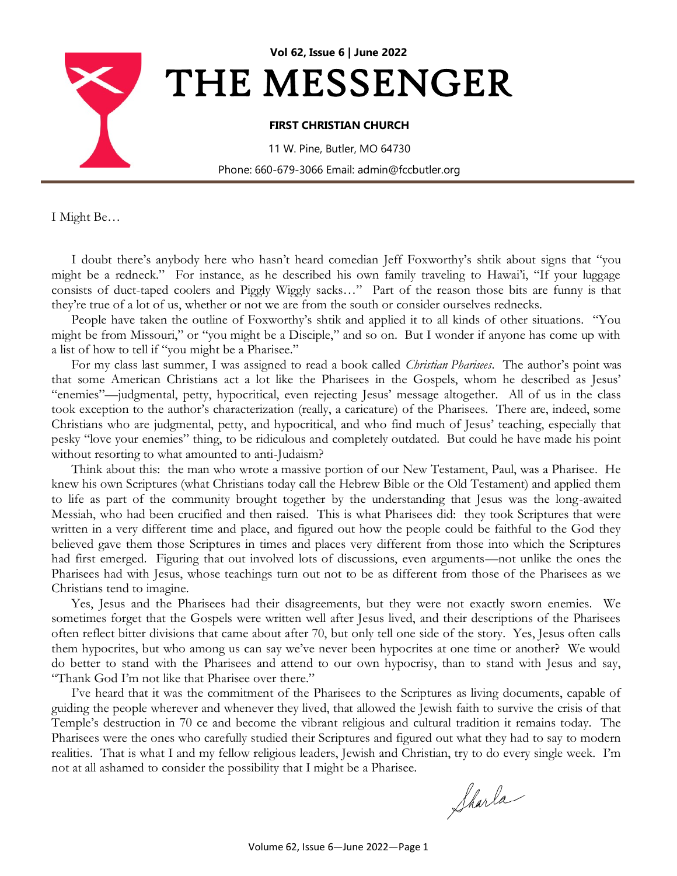

I Might Be…

I doubt there's anybody here who hasn't heard comedian Jeff Foxworthy's shtik about signs that "you might be a redneck." For instance, as he described his own family traveling to Hawai'i, "If your luggage consists of duct-taped coolers and Piggly Wiggly sacks…" Part of the reason those bits are funny is that they're true of a lot of us, whether or not we are from the south or consider ourselves rednecks.

People have taken the outline of Foxworthy's shtik and applied it to all kinds of other situations. "You might be from Missouri," or "you might be a Disciple," and so on. But I wonder if anyone has come up with a list of how to tell if "you might be a Pharisee."

For my class last summer, I was assigned to read a book called *Christian Pharisees*. The author's point was that some American Christians act a lot like the Pharisees in the Gospels, whom he described as Jesus' "enemies"—judgmental, petty, hypocritical, even rejecting Jesus' message altogether. All of us in the class took exception to the author's characterization (really, a caricature) of the Pharisees. There are, indeed, some Christians who are judgmental, petty, and hypocritical, and who find much of Jesus' teaching, especially that pesky "love your enemies" thing, to be ridiculous and completely outdated. But could he have made his point without resorting to what amounted to anti-Judaism?

Think about this: the man who wrote a massive portion of our New Testament, Paul, was a Pharisee. He knew his own Scriptures (what Christians today call the Hebrew Bible or the Old Testament) and applied them to life as part of the community brought together by the understanding that Jesus was the long-awaited Messiah, who had been crucified and then raised. This is what Pharisees did: they took Scriptures that were written in a very different time and place, and figured out how the people could be faithful to the God they believed gave them those Scriptures in times and places very different from those into which the Scriptures had first emerged. Figuring that out involved lots of discussions, even arguments—not unlike the ones the Pharisees had with Jesus, whose teachings turn out not to be as different from those of the Pharisees as we Christians tend to imagine.

Yes, Jesus and the Pharisees had their disagreements, but they were not exactly sworn enemies. We sometimes forget that the Gospels were written well after Jesus lived, and their descriptions of the Pharisees often reflect bitter divisions that came about after 70, but only tell one side of the story. Yes, Jesus often calls them hypocrites, but who among us can say we've never been hypocrites at one time or another? We would do better to stand with the Pharisees and attend to our own hypocrisy, than to stand with Jesus and say, "Thank God I'm not like that Pharisee over there."

I've heard that it was the commitment of the Pharisees to the Scriptures as living documents, capable of guiding the people wherever and whenever they lived, that allowed the Jewish faith to survive the crisis of that Temple's destruction in 70 ce and become the vibrant religious and cultural tradition it remains today. The Pharisees were the ones who carefully studied their Scriptures and figured out what they had to say to modern realities. That is what I and my fellow religious leaders, Jewish and Christian, try to do every single week. I'm not at all ashamed to consider the possibility that I might be a Pharisee.

Sharla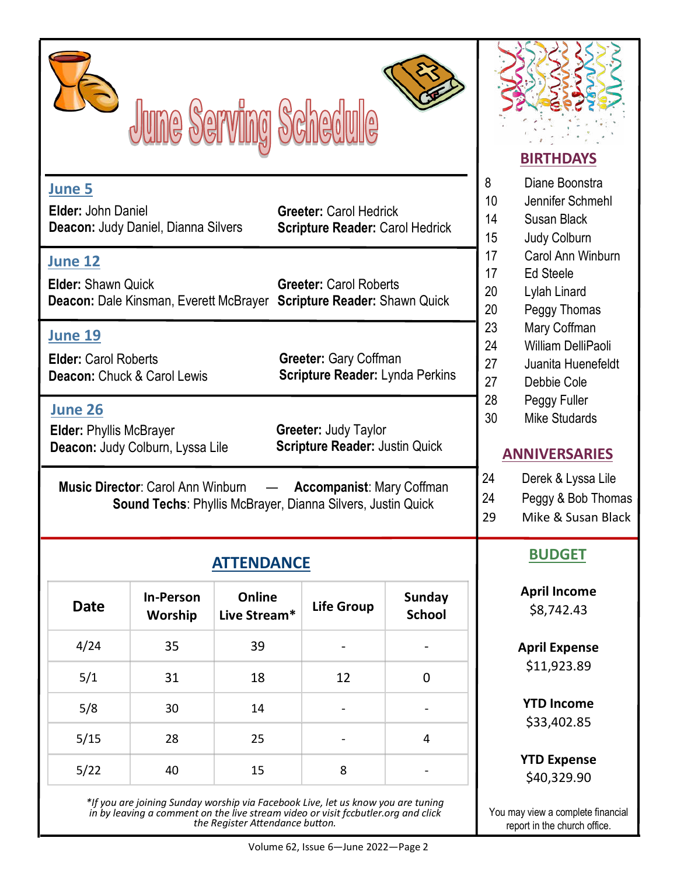|                                                                              | June Serving Schedule                                                                                          | <b>BIRTHDAYS</b>                                                                                |                                                                         |                                |                                                                                          |  |  |
|------------------------------------------------------------------------------|----------------------------------------------------------------------------------------------------------------|-------------------------------------------------------------------------------------------------|-------------------------------------------------------------------------|--------------------------------|------------------------------------------------------------------------------------------|--|--|
| June 5<br>Elder: John Daniel                                                 | Deacon: Judy Daniel, Dianna Silvers                                                                            |                                                                                                 | <b>Greeter: Carol Hedrick</b><br><b>Scripture Reader: Carol Hedrick</b> |                                | Diane Boonstra<br>8<br>10<br>Jennifer Schmehl<br>14<br>Susan Black<br>15<br>Judy Colburn |  |  |
| <b>June 12</b><br><b>Elder: Shawn Quick</b>                                  | Deacon: Dale Kinsman, Everett McBrayer Scripture Reader: Shawn Quick                                           | Carol Ann Winburn<br>17<br>17<br><b>Ed Steele</b><br>20<br>Lylah Linard<br>20<br>Peggy Thomas   |                                                                         |                                |                                                                                          |  |  |
| <b>June 19</b><br><b>Elder: Carol Roberts</b><br>Deacon: Chuck & Carol Lewis |                                                                                                                | 23<br>Mary Coffman<br>24<br>William DelliPaoli<br>27<br>Juanita Huenefeldt<br>27<br>Debbie Cole |                                                                         |                                |                                                                                          |  |  |
| <b>June 26</b><br><b>Elder: Phyllis McBrayer</b>                             | Deacon: Judy Colburn, Lyssa Lile                                                                               | 28<br>Peggy Fuller<br>30<br><b>Mike Studards</b><br><b>ANNIVERSARIES</b>                        |                                                                         |                                |                                                                                          |  |  |
|                                                                              | <b>Music Director: Carol Ann Winburn</b><br><b>Sound Techs: Phyllis McBrayer, Dianna Silvers, Justin Quick</b> | 24<br>Derek & Lyssa Lile<br>24<br>Peggy & Bob Thomas<br>29<br>Mike & Susan Black                |                                                                         |                                |                                                                                          |  |  |
|                                                                              | <b>ATTENDANCE</b>                                                                                              | <b>BUDGET</b>                                                                                   |                                                                         |                                |                                                                                          |  |  |
| <b>Date</b>                                                                  | <b>In-Person</b><br>Worship                                                                                    | Online<br>Live Stream*                                                                          | <b>Life Group</b>                                                       | <b>Sunday</b><br><b>School</b> | <b>April Income</b><br>\$8,742.43                                                        |  |  |
| 4/24                                                                         | 35                                                                                                             | 39                                                                                              |                                                                         |                                | <b>April Expense</b>                                                                     |  |  |
| 5/1                                                                          | 31                                                                                                             | 18                                                                                              | 12                                                                      | $\boldsymbol{0}$               | \$11,923.89                                                                              |  |  |
| 5/8                                                                          | 30                                                                                                             | 14                                                                                              |                                                                         | $\overline{\phantom{0}}$       | <b>YTD Income</b><br>\$33,402.85                                                         |  |  |
| 5/15                                                                         | 28                                                                                                             | 25                                                                                              |                                                                         | 4                              |                                                                                          |  |  |
| 5/22                                                                         | 40                                                                                                             | 15                                                                                              | 8                                                                       |                                | <b>YTD Expense</b><br>\$40,329.90                                                        |  |  |

*\*If you are joining Sunday worship via Facebook Live, let us know you are tuning in by leaving a comment on the live stream video or visit fccbutler.org and click the Register Attendance button.* 

You may view a complete financial report in the church office.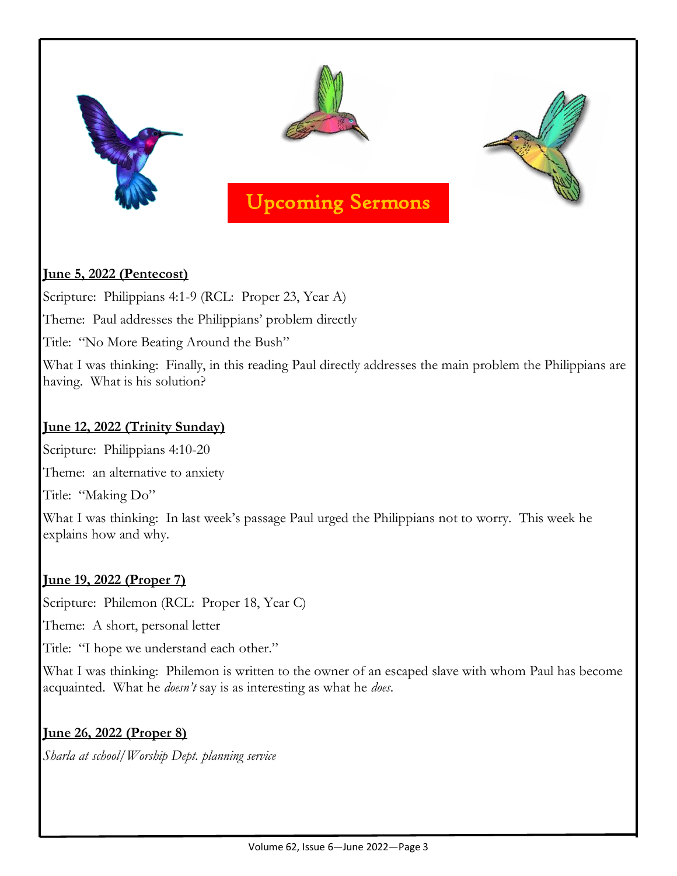

# **June 5, 2022 (Pentecost)**

Scripture: Philippians 4:1-9 (RCL: Proper 23, Year A)

Theme: Paul addresses the Philippians' problem directly

Title: "No More Beating Around the Bush"

What I was thinking: Finally, in this reading Paul directly addresses the main problem the Philippians are having. What is his solution?

# **June 12, 2022 (Trinity Sunday)**

Scripture: Philippians 4:10-20

Theme: an alternative to anxiety

Title: "Making Do"

What I was thinking: In last week's passage Paul urged the Philippians not to worry. This week he explains how and why.

## **June 19, 2022 (Proper 7)**

Scripture: Philemon (RCL: Proper 18, Year C)

Theme: A short, personal letter

Title: "I hope we understand each other."

What I was thinking: Philemon is written to the owner of an escaped slave with whom Paul has become acquainted. What he *doesn't* say is as interesting as what he *does*.

# **June 26, 2022 (Proper 8)**

*Sharla at school/Worship Dept. planning service*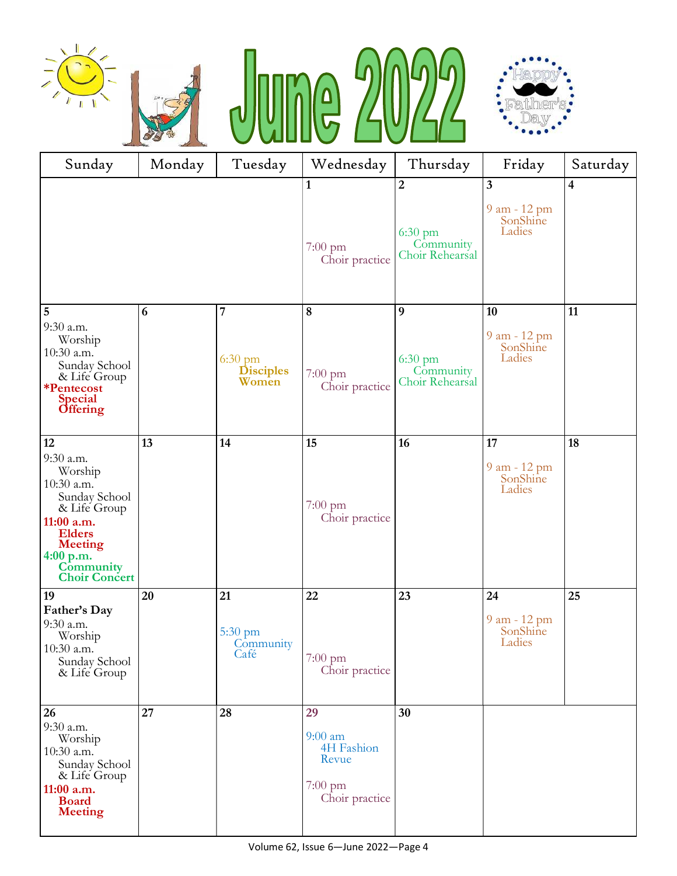







| Sunday                                                                                                                                                                       | Monday | Tuesday                                             | Wednesday                                                                     | Thursday                                                    | Friday                                   | Saturday                |  |  |  |  |
|------------------------------------------------------------------------------------------------------------------------------------------------------------------------------|--------|-----------------------------------------------------|-------------------------------------------------------------------------------|-------------------------------------------------------------|------------------------------------------|-------------------------|--|--|--|--|
|                                                                                                                                                                              |        |                                                     | $\mathbf{1}$<br>$7:00 \text{ pm}$<br>Choir practice                           | $\overline{2}$<br>$6:30$ pm<br>Community<br>Choir Rehearsal | 3<br>9 am - 12 pm<br>SonShine<br>Ladies  | $\overline{\mathbf{4}}$ |  |  |  |  |
| $\overline{5}$<br>9:30 a.m.<br>Worship<br>10:30 a.m.<br>Sunday School<br>& Life Group<br>*Pentecost<br><b>Special</b><br><b>Offering</b>                                     | 6      | 7<br>$6:30 \text{ pm}$<br><b>Disciples</b><br>Women | $\bf 8$<br>$7:00$ pm<br>Choir practice                                        | 9<br>$6:30$ pm<br>Community<br>Choir Rehearsal              | 10<br>9 am - 12 pm<br>SonShine<br>Ladies | 11                      |  |  |  |  |
| 12<br>9:30 a.m.<br>Worship<br>10:30 a.m.<br>Sunday School<br>& Life Group<br>11:00 a.m.<br><b>Elders</b><br><b>Meeting</b><br>4:00 p.m.<br>Community<br><b>Choir Concert</b> | 13     | 14                                                  | 15<br>$7:00 \text{ pm}$<br>Choir practice                                     | 16                                                          | 17<br>9 am - 12 pm<br>SonShine<br>Ladies | 18                      |  |  |  |  |
| 19<br>Father's Day<br>9:30 a.m.<br>Worship<br>10:30 a.m.<br>Sunday School<br>& Life Group                                                                                    | 20     | 21<br>5:30 pm<br>Community<br>Café                  | 22<br>$7:00$ pm<br>Choir practice                                             | 23                                                          | 24<br>9 am - 12 pm<br>SonShine<br>Ladies | 25                      |  |  |  |  |
| 26<br>9:30 a.m.<br>Worship<br>10:30 a.m.<br>Sunday School<br>& Life Group<br>11:00 a.m.<br><b>Board</b><br><b>Meeting</b>                                                    | 27     | 28                                                  | 29<br>$9:00$ am<br>4H Fashion<br>Revue<br>$7:00 \text{ pm}$<br>Choir practice | 30                                                          |                                          |                         |  |  |  |  |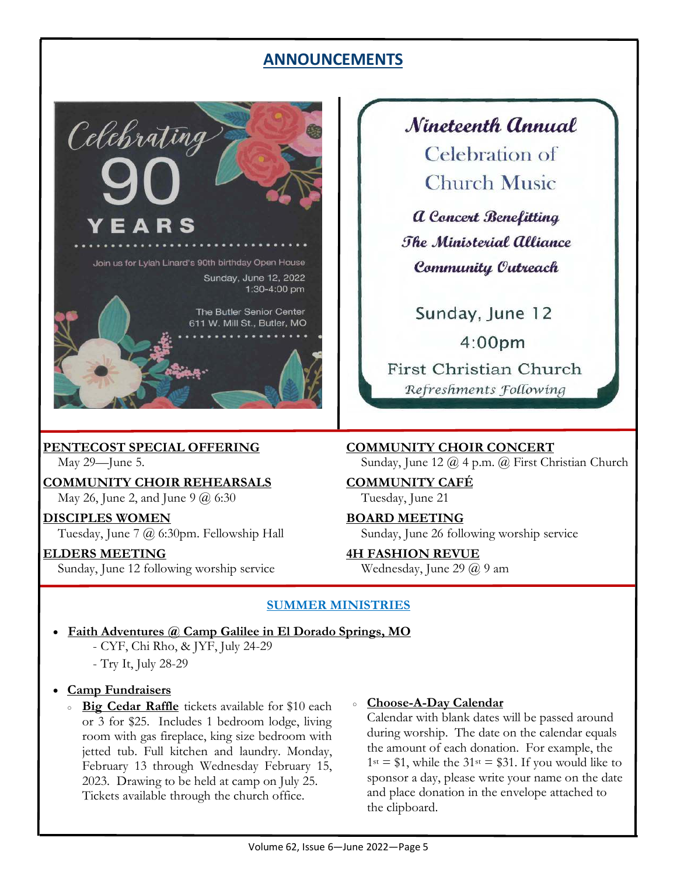# **ANNOUNCEMENTS**



**PENTECOST SPECIAL OFFERING**

May 29—June 5.

**COMMUNITY CHOIR REHEARSALS**  May 26, June 2, and June 9 @ 6:30

**DISCIPLES WOMEN**  Tuesday, June 7 @ 6:30pm. Fellowship Hall

**ELDERS MEETING**  Sunday, June 12 following worship service Nineteenth Annual Celebration of **Church Music** 

**a** Concert Benefitting The Ministerial Alliance Community Outreach

Sunday, June 12  $4:00<sub>pm</sub>$ First Christian Church Refreshments Following

**COMMUNITY CHOIR CONCERT**  Sunday, June 12 @ 4 p.m. @ First Christian Church

**COMMUNITY CAFÉ**  Tuesday, June 21

**BOARD MEETING**  Sunday, June 26 following worship service

**4H FASHION REVUE**  Wednesday, June 29 @ 9 am

### **SUMMER MINISTRIES**

- **Faith Adventures @ Camp Galilee in El Dorado Springs, MO** 
	- CYF, Chi Rho, & JYF, July 24-29
	- Try It, July 28-29
- **Camp Fundraisers** 
	- **Big Cedar Raffle** tickets available for \$10 each or 3 for \$25. Includes 1 bedroom lodge, living room with gas fireplace, king size bedroom with jetted tub. Full kitchen and laundry. Monday, February 13 through Wednesday February 15, 2023. Drawing to be held at camp on July 25. Tickets available through the church office.

#### **Choose-A-Day Calendar**

Calendar with blank dates will be passed around during worship. The date on the calendar equals the amount of each donation. For example, the  $1^{st}$  = \$1, while the 31<sup>st</sup> = \$31. If you would like to sponsor a day, please write your name on the date and place donation in the envelope attached to the clipboard.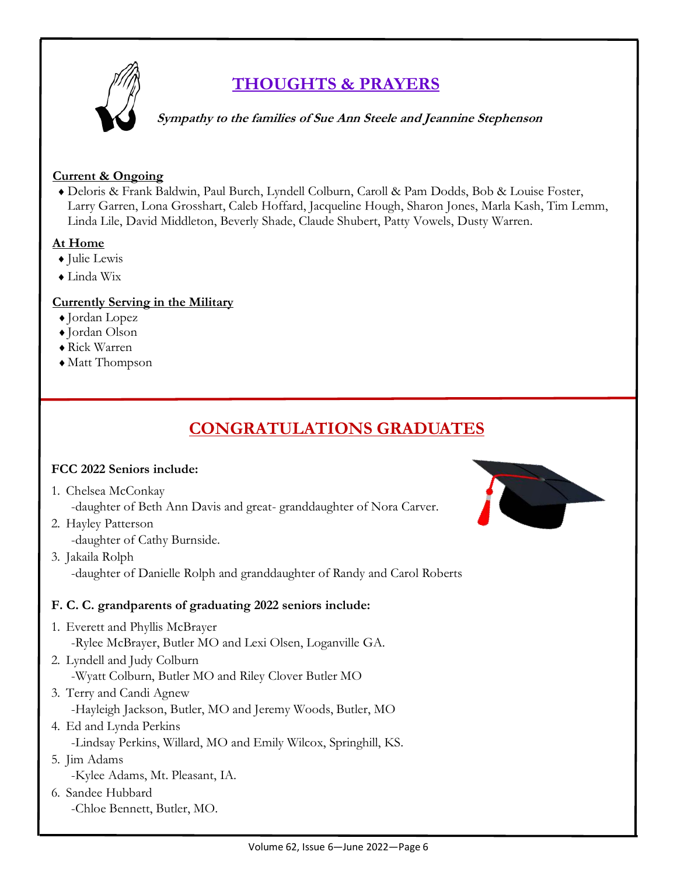

# **THOUGHTS & PRAYERS**

 **Sympathy to the families of Sue Ann Steele and Jeannine Stephenson** 

#### **Current & Ongoing**

 Deloris & Frank Baldwin, Paul Burch, Lyndell Colburn, Caroll & Pam Dodds, Bob & Louise Foster, Larry Garren, Lona Grosshart, Caleb Hoffard, Jacqueline Hough, Sharon Jones, Marla Kash, Tim Lemm, Linda Lile, David Middleton, Beverly Shade, Claude Shubert, Patty Vowels, Dusty Warren.

### **At Home**

- Julie Lewis
- Linda Wix

### **Currently Serving in the Military**

- $\bullet$  Jordan Lopez
- Jordan Olson
- Rick Warren
- Matt Thompson

# **CONGRATULATIONS GRADUATES**

### **FCC 2022 Seniors include:**

- 1. Chelsea McConkay
	- -daughter of Beth Ann Davis and great- granddaughter of Nora Carver.
- 2. Hayley Patterson -daughter of Cathy Burnside.
- 3. Jakaila Rolph -daughter of Danielle Rolph and granddaughter of Randy and Carol Roberts

### **F. C. C. grandparents of graduating 2022 seniors include:**

- 1. Everett and Phyllis McBrayer -Rylee McBrayer, Butler MO and Lexi Olsen, Loganville GA.
- 2. Lyndell and Judy Colburn -Wyatt Colburn, Butler MO and Riley Clover Butler MO
- 3. Terry and Candi Agnew -Hayleigh Jackson, Butler, MO and Jeremy Woods, Butler, MO
- 4. Ed and Lynda Perkins -Lindsay Perkins, Willard, MO and Emily Wilcox, Springhill, KS.
- 5. Jim Adams -Kylee Adams, Mt. Pleasant, IA.
- 6. Sandee Hubbard -Chloe Bennett, Butler, MO.

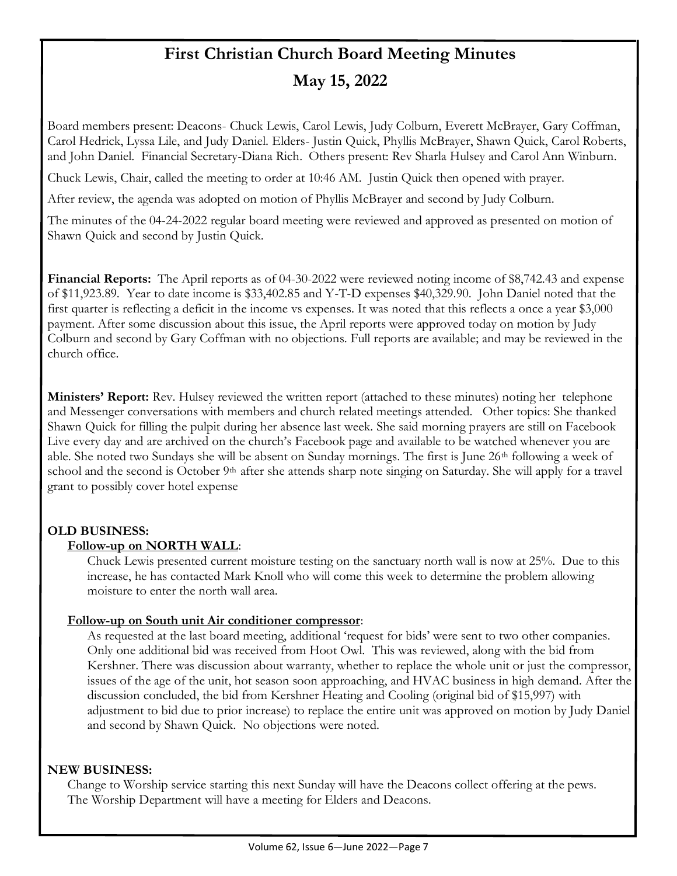# **First Christian Church Board Meeting Minutes May 15, 2022**

Board members present: Deacons- Chuck Lewis, Carol Lewis, Judy Colburn, Everett McBrayer, Gary Coffman, Carol Hedrick, Lyssa Lile, and Judy Daniel. Elders- Justin Quick, Phyllis McBrayer, Shawn Quick, Carol Roberts, and John Daniel. Financial Secretary-Diana Rich. Others present: Rev Sharla Hulsey and Carol Ann Winburn.

Chuck Lewis, Chair, called the meeting to order at 10:46 AM. Justin Quick then opened with prayer.

After review, the agenda was adopted on motion of Phyllis McBrayer and second by Judy Colburn.

The minutes of the 04-24-2022 regular board meeting were reviewed and approved as presented on motion of Shawn Quick and second by Justin Quick.

**Financial Reports:** The April reports as of 04-30-2022 were reviewed noting income of \$8,742.43 and expense of \$11,923.89. Year to date income is \$33,402.85 and Y-T-D expenses \$40,329.90. John Daniel noted that the first quarter is reflecting a deficit in the income vs expenses. It was noted that this reflects a once a year \$3,000 payment. After some discussion about this issue, the April reports were approved today on motion by Judy Colburn and second by Gary Coffman with no objections. Full reports are available; and may be reviewed in the church office.

**Ministers' Report:** Rev. Hulsey reviewed the written report (attached to these minutes) noting her telephone and Messenger conversations with members and church related meetings attended. Other topics: She thanked Shawn Quick for filling the pulpit during her absence last week. She said morning prayers are still on Facebook Live every day and are archived on the church's Facebook page and available to be watched whenever you are able. She noted two Sundays she will be absent on Sunday mornings. The first is June 26th following a week of school and the second is October 9<sup>th</sup> after she attends sharp note singing on Saturday. She will apply for a travel grant to possibly cover hotel expense

### **OLD BUSINESS:**

#### **Follow-up on NORTH WALL**:

 Chuck Lewis presented current moisture testing on the sanctuary north wall is now at 25%. Due to this increase, he has contacted Mark Knoll who will come this week to determine the problem allowing moisture to enter the north wall area.

#### **Follow-up on South unit Air conditioner compressor**:

As requested at the last board meeting, additional 'request for bids' were sent to two other companies. Only one additional bid was received from Hoot Owl. This was reviewed, along with the bid from Kershner. There was discussion about warranty, whether to replace the whole unit or just the compressor, issues of the age of the unit, hot season soon approaching, and HVAC business in high demand. After the discussion concluded, the bid from Kershner Heating and Cooling (original bid of \$15,997) with adjustment to bid due to prior increase) to replace the entire unit was approved on motion by Judy Daniel and second by Shawn Quick. No objections were noted.

#### **NEW BUSINESS:**

Change to Worship service starting this next Sunday will have the Deacons collect offering at the pews. The Worship Department will have a meeting for Elders and Deacons.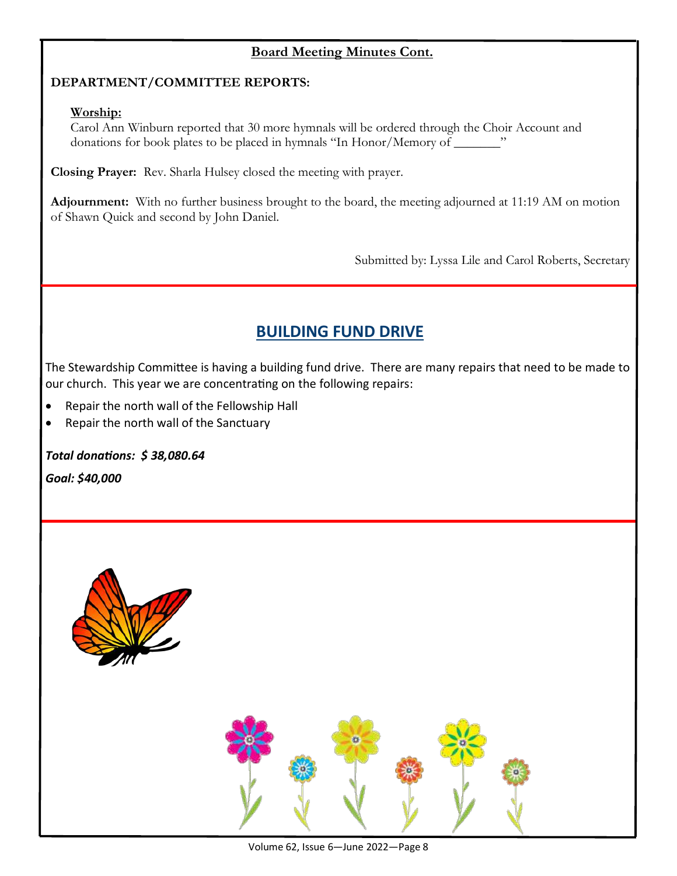## **Board Meeting Minutes Cont.**

#### **DEPARTMENT/COMMITTEE REPORTS:**

#### **Worship:**

Carol Ann Winburn reported that 30 more hymnals will be ordered through the Choir Account and donations for book plates to be placed in hymnals "In Honor/Memory of \_\_\_\_\_\_\_"

**Closing Prayer:** Rev. Sharla Hulsey closed the meeting with prayer.

**Adjournment:** With no further business brought to the board, the meeting adjourned at 11:19 AM on motion of Shawn Quick and second by John Daniel.

Submitted by: Lyssa Lile and Carol Roberts, Secretary

# **BUILDING FUND DRIVE**

The Stewardship Committee is having a building fund drive. There are many repairs that need to be made to our church. This year we are concentrating on the following repairs:

- Repair the north wall of the Fellowship Hall
- Repair the north wall of the Sanctuary

*Total donations: \$ 38,080.64*

*Goal: \$40,000*